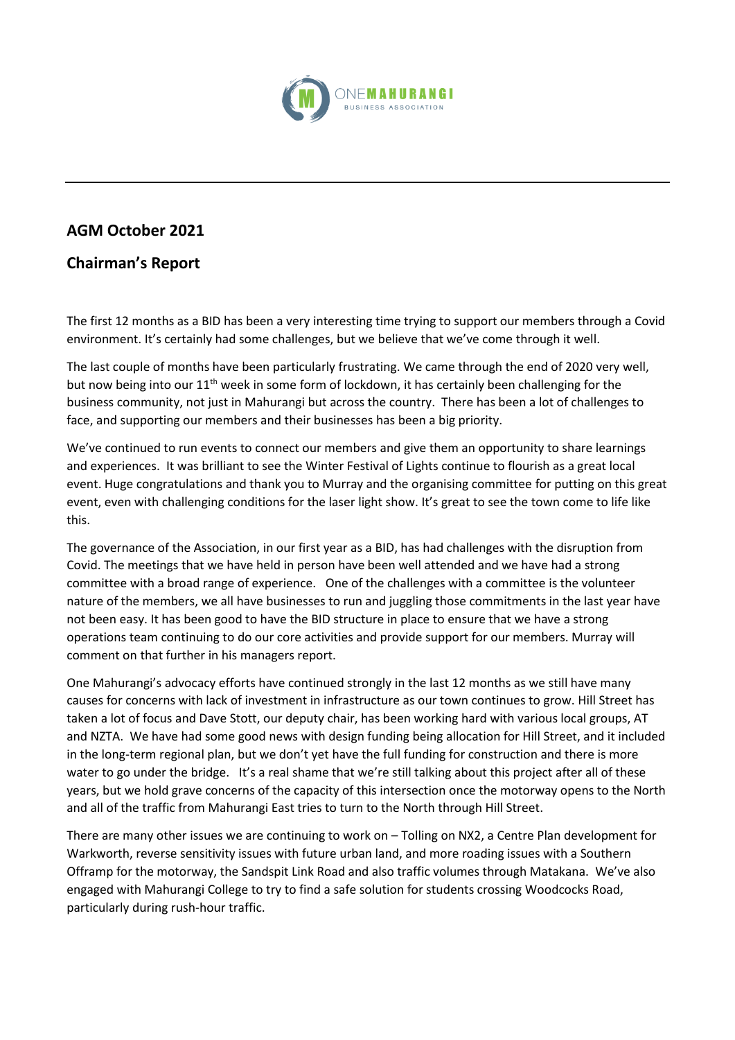

## **AGM October 2021**

## **Chairman's Report**

The first 12 months as a BID has been a very interesting time trying to support our members through a Covid environment. It's certainly had some challenges, but we believe that we've come through it well.

The last couple of months have been particularly frustrating. We came through the end of 2020 very well, but now being into our  $11<sup>th</sup>$  week in some form of lockdown, it has certainly been challenging for the business community, not just in Mahurangi but across the country. There has been a lot of challenges to face, and supporting our members and their businesses has been a big priority.

We've continued to run events to connect our members and give them an opportunity to share learnings and experiences. It was brilliant to see the Winter Festival of Lights continue to flourish as a great local event. Huge congratulations and thank you to Murray and the organising committee for putting on this great event, even with challenging conditions for the laser light show. It's great to see the town come to life like this.

The governance of the Association, in our first year as a BID, has had challenges with the disruption from Covid. The meetings that we have held in person have been well attended and we have had a strong committee with a broad range of experience. One of the challenges with a committee is the volunteer nature of the members, we all have businesses to run and juggling those commitments in the last year have not been easy. It has been good to have the BID structure in place to ensure that we have a strong operations team continuing to do our core activities and provide support for our members. Murray will comment on that further in his managers report.

One Mahurangi's advocacy efforts have continued strongly in the last 12 months as we still have many causes for concerns with lack of investment in infrastructure as our town continues to grow. Hill Street has taken a lot of focus and Dave Stott, our deputy chair, has been working hard with various local groups, AT and NZTA. We have had some good news with design funding being allocation for Hill Street, and it included in the long-term regional plan, but we don't yet have the full funding for construction and there is more water to go under the bridge. It's a real shame that we're still talking about this project after all of these years, but we hold grave concerns of the capacity of this intersection once the motorway opens to the North and all of the traffic from Mahurangi East tries to turn to the North through Hill Street.

There are many other issues we are continuing to work on – Tolling on NX2, a Centre Plan development for Warkworth, reverse sensitivity issues with future urban land, and more roading issues with a Southern Offramp for the motorway, the Sandspit Link Road and also traffic volumes through Matakana. We've also engaged with Mahurangi College to try to find a safe solution for students crossing Woodcocks Road, particularly during rush-hour traffic.